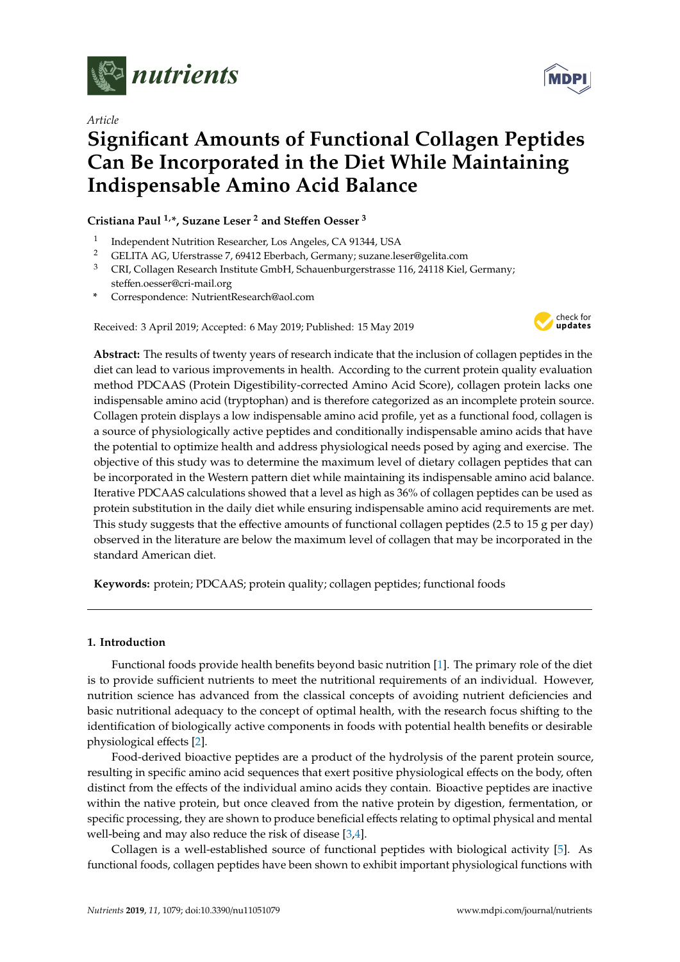

*Article*

# **Significant Amounts of Functional Collagen Peptides Can Be Incorporated in the Diet While Maintaining Indispensable Amino Acid Balance**

## **Cristiana Paul 1,\*, Suzane Leser <sup>2</sup> and Ste**ff**en Oesser <sup>3</sup>**

- 1 Independent Nutrition Researcher, Los Angeles, CA 91344, USA
- <sup>2</sup> GELITA AG, Uferstrasse 7, 69412 Eberbach, Germany; suzane.leser@gelita.com
- <sup>3</sup> CRI, Collagen Research Institute GmbH, Schauenburgerstrasse 116, 24118 Kiel, Germany; steffen.oesser@cri-mail.org
- **\*** Correspondence: NutrientResearch@aol.com

Received: 3 April 2019; Accepted: 6 May 2019; Published: 15 May 2019



**Abstract:** The results of twenty years of research indicate that the inclusion of collagen peptides in the diet can lead to various improvements in health. According to the current protein quality evaluation method PDCAAS (Protein Digestibility-corrected Amino Acid Score), collagen protein lacks one indispensable amino acid (tryptophan) and is therefore categorized as an incomplete protein source. Collagen protein displays a low indispensable amino acid profile, yet as a functional food, collagen is a source of physiologically active peptides and conditionally indispensable amino acids that have the potential to optimize health and address physiological needs posed by aging and exercise. The objective of this study was to determine the maximum level of dietary collagen peptides that can be incorporated in the Western pattern diet while maintaining its indispensable amino acid balance. Iterative PDCAAS calculations showed that a level as high as 36% of collagen peptides can be used as protein substitution in the daily diet while ensuring indispensable amino acid requirements are met. This study suggests that the effective amounts of functional collagen peptides (2.5 to 15 g per day) observed in the literature are below the maximum level of collagen that may be incorporated in the standard American diet.

**Keywords:** protein; PDCAAS; protein quality; collagen peptides; functional foods

## **1. Introduction**

Functional foods provide health benefits beyond basic nutrition [\[1\]](#page-6-0). The primary role of the diet is to provide sufficient nutrients to meet the nutritional requirements of an individual. However, nutrition science has advanced from the classical concepts of avoiding nutrient deficiencies and basic nutritional adequacy to the concept of optimal health, with the research focus shifting to the identification of biologically active components in foods with potential health benefits or desirable physiological effects [\[2\]](#page-6-1).

Food-derived bioactive peptides are a product of the hydrolysis of the parent protein source, resulting in specific amino acid sequences that exert positive physiological effects on the body, often distinct from the effects of the individual amino acids they contain. Bioactive peptides are inactive within the native protein, but once cleaved from the native protein by digestion, fermentation, or specific processing, they are shown to produce beneficial effects relating to optimal physical and mental well-being and may also reduce the risk of disease [\[3,](#page-6-2)[4\]](#page-6-3).

Collagen is a well-established source of functional peptides with biological activity [\[5\]](#page-7-0). As functional foods, collagen peptides have been shown to exhibit important physiological functions with

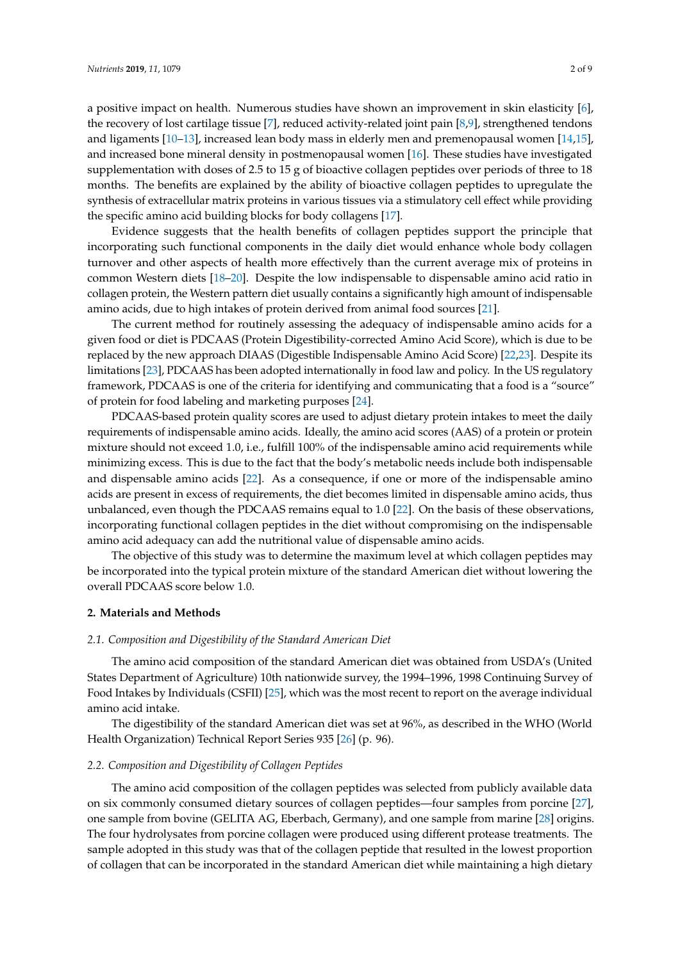a positive impact on health. Numerous studies have shown an improvement in skin elasticity [\[6\]](#page-7-1), the recovery of lost cartilage tissue [\[7\]](#page-7-2), reduced activity-related joint pain [\[8](#page-7-3)[,9\]](#page-7-4), strengthened tendons and ligaments [\[10](#page-7-5)[–13\]](#page-7-6), increased lean body mass in elderly men and premenopausal women [\[14,](#page-7-7)[15\]](#page-7-8), and increased bone mineral density in postmenopausal women [\[16\]](#page-7-9). These studies have investigated supplementation with doses of 2.5 to 15 g of bioactive collagen peptides over periods of three to 18 months. The benefits are explained by the ability of bioactive collagen peptides to upregulate the synthesis of extracellular matrix proteins in various tissues via a stimulatory cell effect while providing the specific amino acid building blocks for body collagens [\[17\]](#page-7-10).

Evidence suggests that the health benefits of collagen peptides support the principle that incorporating such functional components in the daily diet would enhance whole body collagen turnover and other aspects of health more effectively than the current average mix of proteins in common Western diets [\[18](#page-7-11)[–20\]](#page-7-12). Despite the low indispensable to dispensable amino acid ratio in collagen protein, the Western pattern diet usually contains a significantly high amount of indispensable amino acids, due to high intakes of protein derived from animal food sources [\[21\]](#page-7-13).

The current method for routinely assessing the adequacy of indispensable amino acids for a given food or diet is PDCAAS (Protein Digestibility-corrected Amino Acid Score), which is due to be replaced by the new approach DIAAS (Digestible Indispensable Amino Acid Score) [\[22,](#page-7-14)[23\]](#page-7-15). Despite its limitations [\[23\]](#page-7-15), PDCAAS has been adopted internationally in food law and policy. In the US regulatory framework, PDCAAS is one of the criteria for identifying and communicating that a food is a "source" of protein for food labeling and marketing purposes [\[24\]](#page-8-0).

PDCAAS-based protein quality scores are used to adjust dietary protein intakes to meet the daily requirements of indispensable amino acids. Ideally, the amino acid scores (AAS) of a protein or protein mixture should not exceed 1.0, i.e., fulfill 100% of the indispensable amino acid requirements while minimizing excess. This is due to the fact that the body's metabolic needs include both indispensable and dispensable amino acids [\[22\]](#page-7-14). As a consequence, if one or more of the indispensable amino acids are present in excess of requirements, the diet becomes limited in dispensable amino acids, thus unbalanced, even though the PDCAAS remains equal to 1.0 [\[22\]](#page-7-14). On the basis of these observations, incorporating functional collagen peptides in the diet without compromising on the indispensable amino acid adequacy can add the nutritional value of dispensable amino acids.

The objective of this study was to determine the maximum level at which collagen peptides may be incorporated into the typical protein mixture of the standard American diet without lowering the overall PDCAAS score below 1.0.

### **2. Materials and Methods**

#### *2.1. Composition and Digestibility of the Standard American Diet*

The amino acid composition of the standard American diet was obtained from USDA's (United States Department of Agriculture) 10th nationwide survey, the 1994–1996, 1998 Continuing Survey of Food Intakes by Individuals (CSFII) [\[25\]](#page-8-1), which was the most recent to report on the average individual amino acid intake.

The digestibility of the standard American diet was set at 96%, as described in the WHO (World Health Organization) Technical Report Series 935 [\[26\]](#page-8-2) (p. 96).

#### *2.2. Composition and Digestibility of Collagen Peptides*

The amino acid composition of the collagen peptides was selected from publicly available data on six commonly consumed dietary sources of collagen peptides—four samples from porcine [\[27\]](#page-8-3), one sample from bovine (GELITA AG, Eberbach, Germany), and one sample from marine [\[28\]](#page-8-4) origins. The four hydrolysates from porcine collagen were produced using different protease treatments. The sample adopted in this study was that of the collagen peptide that resulted in the lowest proportion of collagen that can be incorporated in the standard American diet while maintaining a high dietary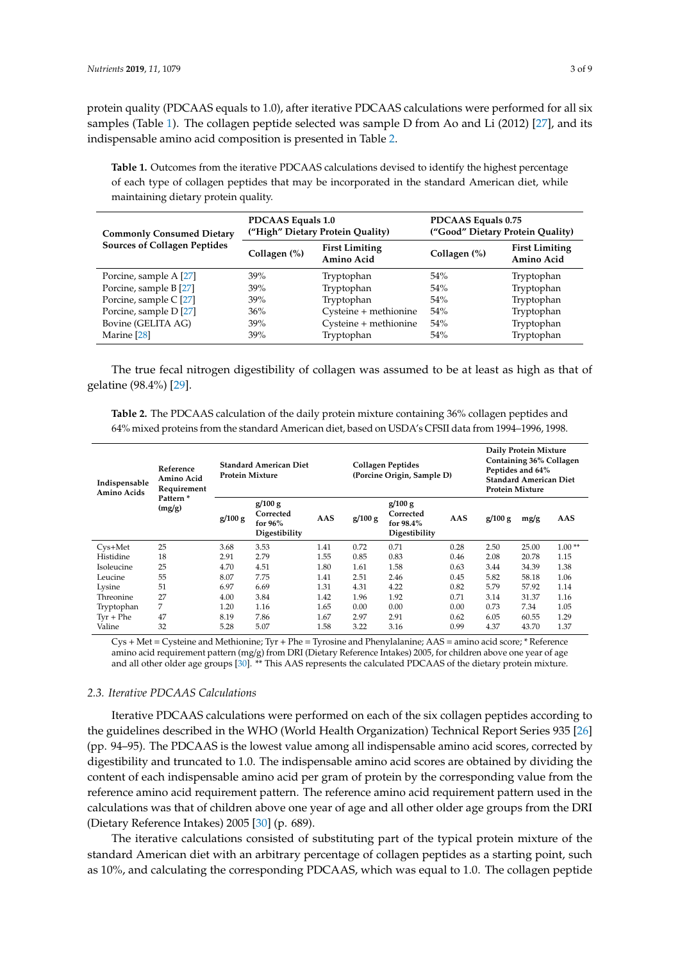protein quality (PDCAAS equals to 1.0), after iterative PDCAAS calculations were performed for all six samples (Table [1\)](#page-2-0). The collagen peptide selected was sample D from Ao and Li (2012) [\[27\]](#page-8-3), and its indispensable amino acid composition is presented in Table [2.](#page-2-1)

<span id="page-2-0"></span>**Table 1.** Outcomes from the iterative PDCAAS calculations devised to identify the highest percentage of each type of collagen peptides that may be incorporated in the standard American diet, while maintaining dietary protein quality.

| <b>Commonly Consumed Dietary</b>    | PDCAAS Equals 1.0                                      | ("High" Dietary Protein Quality) | PDCAAS Equals 0.75<br>("Good" Dietary Protein Quality) |                                     |  |
|-------------------------------------|--------------------------------------------------------|----------------------------------|--------------------------------------------------------|-------------------------------------|--|
| <b>Sources of Collagen Peptides</b> | <b>First Limiting</b><br>Collagen $(\%)$<br>Amino Acid |                                  | Collagen $(\%)$                                        | <b>First Limiting</b><br>Amino Acid |  |
| Porcine, sample A [27]              | 39%                                                    | Tryptophan                       | 54%                                                    | Tryptophan                          |  |
| Porcine, sample B [27]              | 39%                                                    | Tryptophan                       | 54%                                                    | Tryptophan                          |  |
| Porcine, sample C [27]              | 39%                                                    | Tryptophan                       | 54%                                                    | Tryptophan                          |  |
| Porcine, sample D [27]              | 36%                                                    | Cysteine + methionine            | 54%                                                    | Tryptophan                          |  |
| Bovine (GELITA AG)                  | 39%                                                    | Cysteine + methionine            | 54%                                                    | Tryptophan                          |  |
| Marine [28]                         | 39%                                                    | Tryptophan                       | 54%                                                    | Tryptophan                          |  |

The true fecal nitrogen digestibility of collagen was assumed to be at least as high as that of gelatine (98.4%) [\[29\]](#page-8-5).

<span id="page-2-1"></span>**Table 2.** The PDCAAS calculation of the daily protein mixture containing 36% collagen peptides and 64% mixed proteins from the standard American diet, based on USDA's CFSII data from 1994–1996, 1998.

| Indispensable<br>Amino Acids | Reference<br>Amino Acid<br>Requirement<br>Pattern <sup>*</sup><br>(mg/g) | <b>Standard American Diet</b><br><b>Protein Mixture</b> |                                                     | <b>Collagen Peptides</b><br>(Porcine Origin, Sample D) |         |                                                       | Daily Protein Mixture<br>Containing 36% Collagen<br>Peptides and 64%<br><b>Standard American Diet</b><br><b>Protein Mixture</b> |         |       |          |
|------------------------------|--------------------------------------------------------------------------|---------------------------------------------------------|-----------------------------------------------------|--------------------------------------------------------|---------|-------------------------------------------------------|---------------------------------------------------------------------------------------------------------------------------------|---------|-------|----------|
|                              |                                                                          | g/100 g                                                 | g/100 g<br>Corrected<br>for $96\%$<br>Digestibility | AAS                                                    | g/100 g | g/100 g<br>Corrected<br>for $98.4\%$<br>Digestibility | AAS                                                                                                                             | g/100 g | mg/g  | AAS      |
| $Cv$ s+Met                   | 25                                                                       | 3.68                                                    | 3.53                                                | 1.41                                                   | 0.72    | 0.71                                                  | 0.28                                                                                                                            | 2.50    | 25.00 | $1.00**$ |
| Histidine                    | 18                                                                       | 2.91                                                    | 2.79                                                | 1.55                                                   | 0.85    | 0.83                                                  | 0.46                                                                                                                            | 2.08    | 20.78 | 1.15     |
| Isoleucine                   | 25                                                                       | 4.70                                                    | 4.51                                                | 1.80                                                   | 1.61    | 1.58                                                  | 0.63                                                                                                                            | 3.44    | 34.39 | 1.38     |
| Leucine                      | 55                                                                       | 8.07                                                    | 7.75                                                | 1.41                                                   | 2.51    | 2.46                                                  | 0.45                                                                                                                            | 5.82    | 58.18 | 1.06     |
| Lysine                       | 51                                                                       | 6.97                                                    | 6.69                                                | 1.31                                                   | 4.31    | 4.22                                                  | 0.82                                                                                                                            | 5.79    | 57.92 | 1.14     |
| Threonine                    | 27                                                                       | 4.00                                                    | 3.84                                                | 1.42                                                   | 1.96    | 1.92                                                  | 0.71                                                                                                                            | 3.14    | 31.37 | 1.16     |
| Tryptophan                   | 7                                                                        | 1.20                                                    | 1.16                                                | 1.65                                                   | 0.00    | 0.00                                                  | 0.00                                                                                                                            | 0.73    | 7.34  | 1.05     |
| $Tyr + Phe$                  | 47                                                                       | 8.19                                                    | 7.86                                                | 1.67                                                   | 2.97    | 2.91                                                  | 0.62                                                                                                                            | 6.05    | 60.55 | 1.29     |
| Valine                       | 32                                                                       | 5.28                                                    | 5.07                                                | 1.58                                                   | 3.22    | 3.16                                                  | 0.99                                                                                                                            | 4.37    | 43.70 | 1.37     |

Cys + Met = Cysteine and Methionine; Tyr + Phe = Tyrosine and Phenylalanine; AAS = amino acid score; \* Reference amino acid requirement pattern (mg/g) from DRI (Dietary Reference Intakes) 2005, for children above one year of age and all other older age groups [\[30\]](#page-8-6). \*\* This AAS represents the calculated PDCAAS of the dietary protein mixture.

## *2.3. Iterative PDCAAS Calculations*

Iterative PDCAAS calculations were performed on each of the six collagen peptides according to the guidelines described in the WHO (World Health Organization) Technical Report Series 935 [\[26\]](#page-8-2) (pp. 94–95). The PDCAAS is the lowest value among all indispensable amino acid scores, corrected by digestibility and truncated to 1.0. The indispensable amino acid scores are obtained by dividing the content of each indispensable amino acid per gram of protein by the corresponding value from the reference amino acid requirement pattern. The reference amino acid requirement pattern used in the calculations was that of children above one year of age and all other older age groups from the DRI (Dietary Reference Intakes) 2005 [\[30\]](#page-8-6) (p. 689).

The iterative calculations consisted of substituting part of the typical protein mixture of the standard American diet with an arbitrary percentage of collagen peptides as a starting point, such as 10%, and calculating the corresponding PDCAAS, which was equal to 1.0. The collagen peptide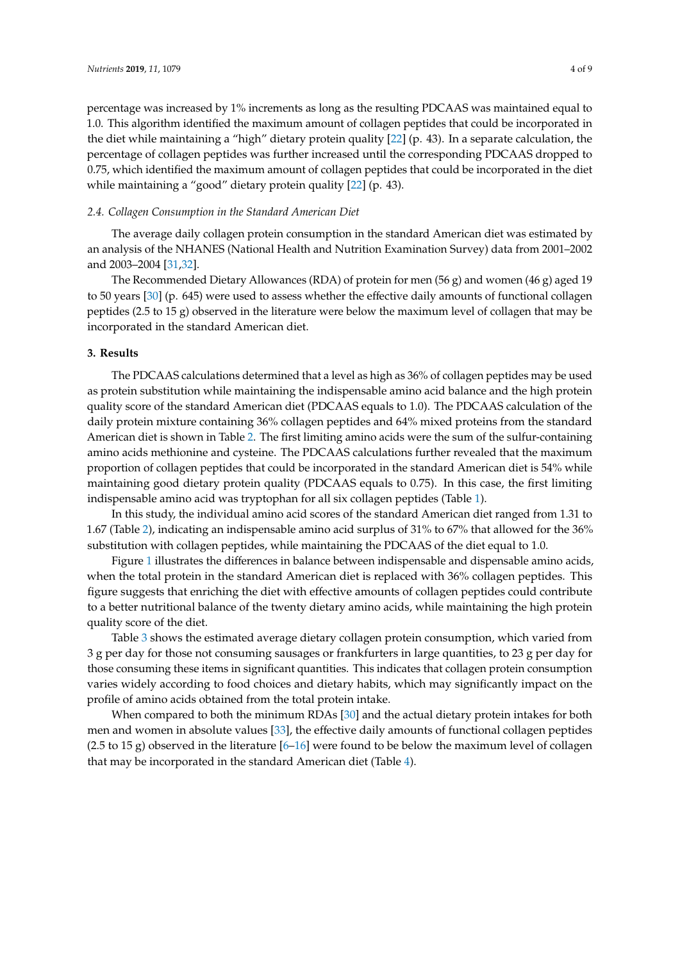percentage was increased by 1% increments as long as the resulting PDCAAS was maintained equal to 1.0. This algorithm identified the maximum amount of collagen peptides that could be incorporated in the diet while maintaining a "high" dietary protein quality [\[22\]](#page-7-14) (p. 43). In a separate calculation, the percentage of collagen peptides was further increased until the corresponding PDCAAS dropped to 0.75, which identified the maximum amount of collagen peptides that could be incorporated in the diet while maintaining a "good" dietary protein quality [\[22\]](#page-7-14) (p. 43).

### *2.4. Collagen Consumption in the Standard American Diet*

The average daily collagen protein consumption in the standard American diet was estimated by an analysis of the NHANES (National Health and Nutrition Examination Survey) data from 2001–2002 and 2003–2004 [\[31](#page-8-7)[,32\]](#page-8-8).

The Recommended Dietary Allowances (RDA) of protein for men (56 g) and women (46 g) aged 19 to 50 years [\[30\]](#page-8-6) (p. 645) were used to assess whether the effective daily amounts of functional collagen peptides (2.5 to 15 g) observed in the literature were below the maximum level of collagen that may be incorporated in the standard American diet.

## **3. Results**

The PDCAAS calculations determined that a level as high as 36% of collagen peptides may be used as protein substitution while maintaining the indispensable amino acid balance and the high protein quality score of the standard American diet (PDCAAS equals to 1.0). The PDCAAS calculation of the daily protein mixture containing 36% collagen peptides and 64% mixed proteins from the standard American diet is shown in Table [2.](#page-2-1) The first limiting amino acids were the sum of the sulfur-containing amino acids methionine and cysteine. The PDCAAS calculations further revealed that the maximum proportion of collagen peptides that could be incorporated in the standard American diet is 54% while maintaining good dietary protein quality (PDCAAS equals to 0.75). In this case, the first limiting indispensable amino acid was tryptophan for all six collagen peptides (Table [1\)](#page-2-0).

In this study, the individual amino acid scores of the standard American diet ranged from 1.31 to 1.67 (Table [2\)](#page-2-1), indicating an indispensable amino acid surplus of 31% to 67% that allowed for the 36% substitution with collagen peptides, while maintaining the PDCAAS of the diet equal to 1.0.

Figure [1](#page-4-0) illustrates the differences in balance between indispensable and dispensable amino acids, when the total protein in the standard American diet is replaced with 36% collagen peptides. This figure suggests that enriching the diet with effective amounts of collagen peptides could contribute to a better nutritional balance of the twenty dietary amino acids, while maintaining the high protein quality score of the diet.

Table [3](#page-4-1) shows the estimated average dietary collagen protein consumption, which varied from 3 g per day for those not consuming sausages or frankfurters in large quantities, to 23 g per day for those consuming these items in significant quantities. This indicates that collagen protein consumption varies widely according to food choices and dietary habits, which may significantly impact on the profile of amino acids obtained from the total protein intake.

When compared to both the minimum RDAs [\[30\]](#page-8-6) and the actual dietary protein intakes for both men and women in absolute values [\[33\]](#page-8-9), the effective daily amounts of functional collagen peptides  $(2.5 \text{ to } 15 \text{ g})$  observed in the literature  $[6–16]$  $[6–16]$  were found to be below the maximum level of collagen that may be incorporated in the standard American diet (Table [4\)](#page-4-2).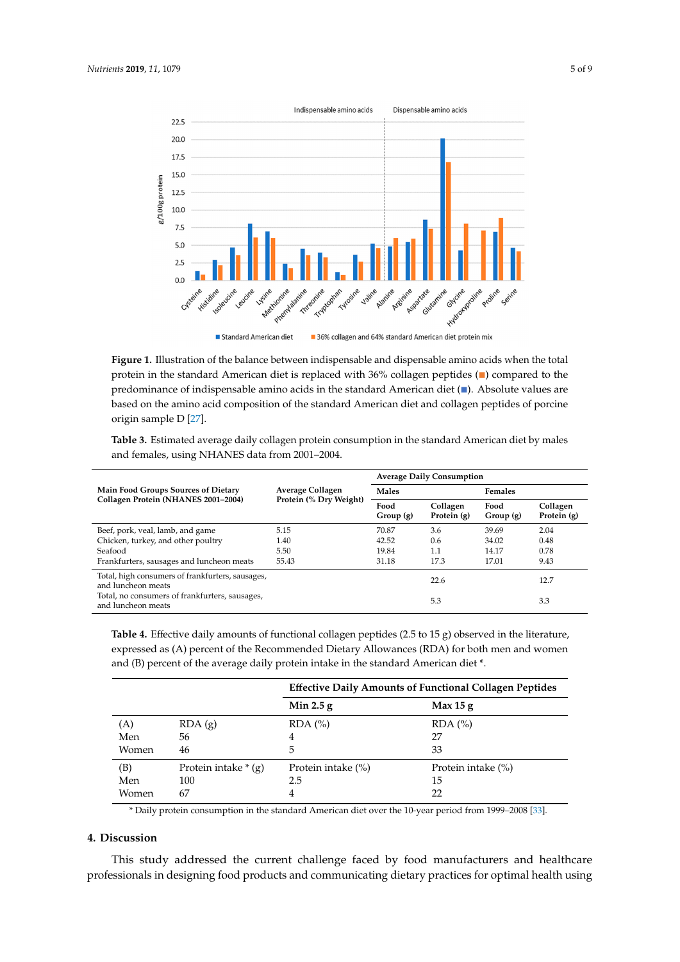<span id="page-4-0"></span>

**Figure 1.** Illustration of the balance between indispensable and dispensable amino acids when the total protein in the standard American diet is replaced with 36% collagen peptides ( $\blacksquare$ ) compared to the predominance of indispensable amino acids in the standard American diet ( $\blacksquare$ ). Absolute values are based on the amino acid composition of the standard American diet and collagen peptides of porcine origin sample D [\[27\]](#page-8-3).

<span id="page-4-1"></span>and females, using NHANES data from 2001–2004. **Table 3.** Estimated average daily collagen protein consumption in the standard American diet by males

|                                                                        | Average Collagen       | <b>Average Daily Consumption</b> |                         |                   |                         |
|------------------------------------------------------------------------|------------------------|----------------------------------|-------------------------|-------------------|-------------------------|
| <b>Main Food Groups Sources of Dietary</b>                             |                        | Males                            |                         | Females           |                         |
| Collagen Protein (NHANES 2001-2004)                                    | Protein (% Dry Weight) | Food<br>Group (g)                | Collagen<br>Protein (g) | Food<br>Group (g) | Collagen<br>Protein (g) |
| Beef, pork, veal, lamb, and game                                       | 5.15                   | 70.87                            | 3.6                     | 39.69             | 2.04                    |
| Chicken, turkey, and other poultry                                     | 1.40                   | 42.52                            | 0.6                     | 34.02             | 0.48                    |
| Seafood                                                                | 5.50                   | 19.84                            | 1.1                     | 14.17             | 0.78                    |
| Frankfurters, sausages and luncheon meats                              | 55.43                  | 31.18                            | 17.3                    | 17.01             | 9.43                    |
| Total, high consumers of frankfurters, sausages,<br>and luncheon meats |                        |                                  | 22.6                    |                   | 12.7                    |
| Total, no consumers of frankfurters, sausages,<br>and luncheon meats   |                        |                                  | 5.3                     |                   | 3.3                     |

<span id="page-4-2"></span>**Table 4.** Effective daily amounts of functional collagen peptides  $(2.5 \text{ to } 15 \text{ g})$  observed in the literature, expressed as (A) percent of the Recommended Dietary Allowances (RDA) for both men and women and (B) percent of the average daily protein intake in the standard American diet  $*$ .

|       |                       | <b>Effective Daily Amounts of Functional Collagen Peptides</b> |                    |  |
|-------|-----------------------|----------------------------------------------------------------|--------------------|--|
|       |                       | Min 2.5 $g$                                                    | Max 15 g           |  |
| (A)   | RDA(g)                | RDA(%)                                                         | RDA(%)             |  |
| Men   | 56                    | 4                                                              | 27                 |  |
| Women | 46                    | 5                                                              | 33                 |  |
| (B)   | Protein intake $*(g)$ | Protein intake (%)                                             | Protein intake (%) |  |
| Men   | 100                   | 2.5                                                            | 15                 |  |
| Women | 67                    | 4                                                              | 22                 |  |

\* Daily protein consumption in the standard American diet over the 10-year period from 1999–2008 [33]. \* Daily protein consumption in the standard American diet over the 10-year period from 1999–2008 [\[33\]](#page-8-9).

## **4. Discussion 4. Discussion**

This study addressed the current challenge faced by food manufacturers and healthcare This study addressed the current challenge faced by food manufacturers and healthcare professionals in designing food products and communicating dietary practices for optimal health professionals in designing food products and communicating dietary practices for optimal health usinging functional collagen pertine  $\alpha$  in compliance with regulatory frameworks that are under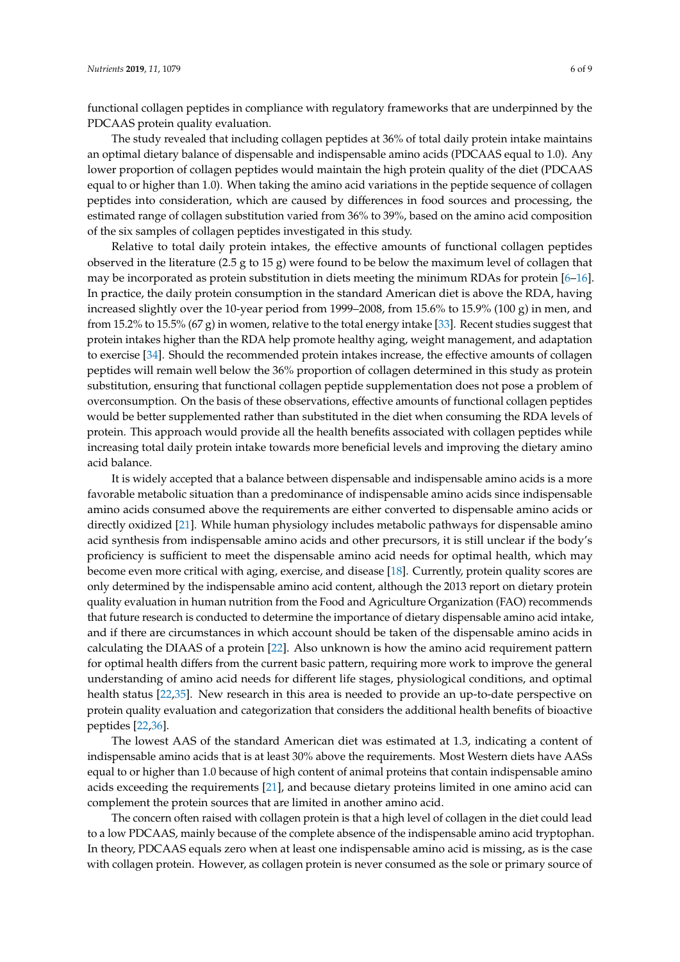functional collagen peptides in compliance with regulatory frameworks that are underpinned by the PDCAAS protein quality evaluation.

The study revealed that including collagen peptides at 36% of total daily protein intake maintains an optimal dietary balance of dispensable and indispensable amino acids (PDCAAS equal to 1.0). Any lower proportion of collagen peptides would maintain the high protein quality of the diet (PDCAAS equal to or higher than 1.0). When taking the amino acid variations in the peptide sequence of collagen peptides into consideration, which are caused by differences in food sources and processing, the estimated range of collagen substitution varied from 36% to 39%, based on the amino acid composition of the six samples of collagen peptides investigated in this study.

Relative to total daily protein intakes, the effective amounts of functional collagen peptides observed in the literature (2.5 g to 15 g) were found to be below the maximum level of collagen that may be incorporated as protein substitution in diets meeting the minimum RDAs for protein [\[6–](#page-7-1)[16\]](#page-7-9). In practice, the daily protein consumption in the standard American diet is above the RDA, having increased slightly over the 10-year period from 1999–2008, from 15.6% to 15.9% (100 g) in men, and from 15.2% to 15.5% (67 g) in women, relative to the total energy intake [\[33\]](#page-8-9). Recent studies suggest that protein intakes higher than the RDA help promote healthy aging, weight management, and adaptation to exercise [\[34\]](#page-8-10). Should the recommended protein intakes increase, the effective amounts of collagen peptides will remain well below the 36% proportion of collagen determined in this study as protein substitution, ensuring that functional collagen peptide supplementation does not pose a problem of overconsumption. On the basis of these observations, effective amounts of functional collagen peptides would be better supplemented rather than substituted in the diet when consuming the RDA levels of protein. This approach would provide all the health benefits associated with collagen peptides while increasing total daily protein intake towards more beneficial levels and improving the dietary amino acid balance.

It is widely accepted that a balance between dispensable and indispensable amino acids is a more favorable metabolic situation than a predominance of indispensable amino acids since indispensable amino acids consumed above the requirements are either converted to dispensable amino acids or directly oxidized [\[21\]](#page-7-13). While human physiology includes metabolic pathways for dispensable amino acid synthesis from indispensable amino acids and other precursors, it is still unclear if the body's proficiency is sufficient to meet the dispensable amino acid needs for optimal health, which may become even more critical with aging, exercise, and disease [\[18\]](#page-7-11). Currently, protein quality scores are only determined by the indispensable amino acid content, although the 2013 report on dietary protein quality evaluation in human nutrition from the Food and Agriculture Organization (FAO) recommends that future research is conducted to determine the importance of dietary dispensable amino acid intake, and if there are circumstances in which account should be taken of the dispensable amino acids in calculating the DIAAS of a protein [\[22\]](#page-7-14). Also unknown is how the amino acid requirement pattern for optimal health differs from the current basic pattern, requiring more work to improve the general understanding of amino acid needs for different life stages, physiological conditions, and optimal health status [\[22](#page-7-14)[,35\]](#page-8-11). New research in this area is needed to provide an up-to-date perspective on protein quality evaluation and categorization that considers the additional health benefits of bioactive peptides [\[22](#page-7-14)[,36\]](#page-8-12).

The lowest AAS of the standard American diet was estimated at 1.3, indicating a content of indispensable amino acids that is at least 30% above the requirements. Most Western diets have AASs equal to or higher than 1.0 because of high content of animal proteins that contain indispensable amino acids exceeding the requirements [\[21\]](#page-7-13), and because dietary proteins limited in one amino acid can complement the protein sources that are limited in another amino acid.

The concern often raised with collagen protein is that a high level of collagen in the diet could lead to a low PDCAAS, mainly because of the complete absence of the indispensable amino acid tryptophan. In theory, PDCAAS equals zero when at least one indispensable amino acid is missing, as is the case with collagen protein. However, as collagen protein is never consumed as the sole or primary source of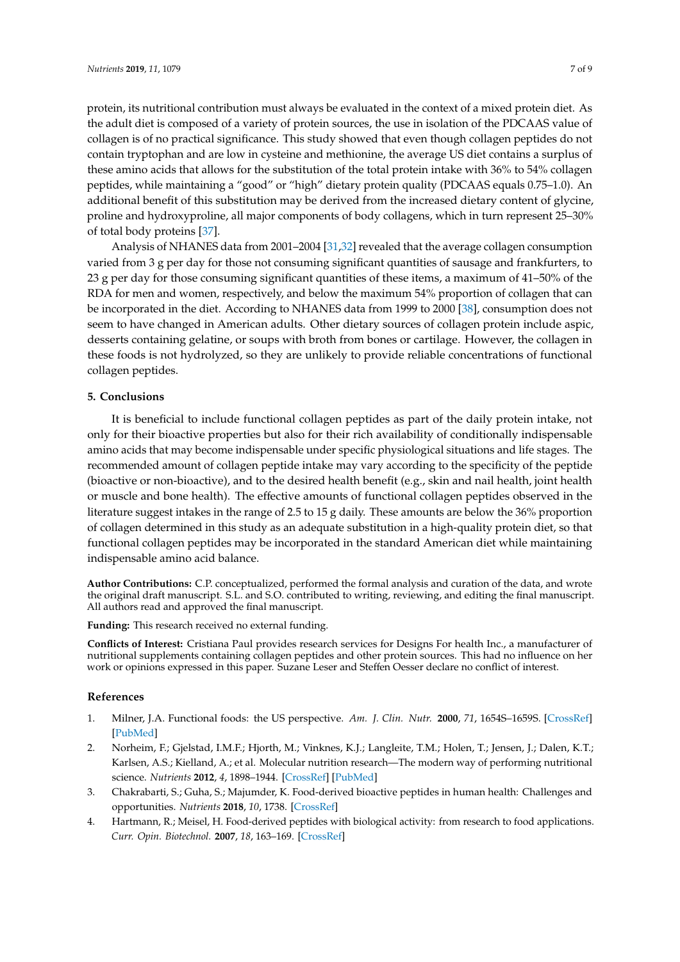protein, its nutritional contribution must always be evaluated in the context of a mixed protein diet. As the adult diet is composed of a variety of protein sources, the use in isolation of the PDCAAS value of collagen is of no practical significance. This study showed that even though collagen peptides do not contain tryptophan and are low in cysteine and methionine, the average US diet contains a surplus of these amino acids that allows for the substitution of the total protein intake with 36% to 54% collagen peptides, while maintaining a "good" or "high" dietary protein quality (PDCAAS equals 0.75–1.0). An additional benefit of this substitution may be derived from the increased dietary content of glycine, proline and hydroxyproline, all major components of body collagens, which in turn represent 25–30% of total body proteins [\[37\]](#page-8-13).

Analysis of NHANES data from 2001–2004 [\[31](#page-8-7)[,32\]](#page-8-8) revealed that the average collagen consumption varied from 3 g per day for those not consuming significant quantities of sausage and frankfurters, to 23 g per day for those consuming significant quantities of these items, a maximum of 41–50% of the RDA for men and women, respectively, and below the maximum 54% proportion of collagen that can be incorporated in the diet. According to NHANES data from 1999 to 2000 [\[38\]](#page-8-14), consumption does not seem to have changed in American adults. Other dietary sources of collagen protein include aspic, desserts containing gelatine, or soups with broth from bones or cartilage. However, the collagen in these foods is not hydrolyzed, so they are unlikely to provide reliable concentrations of functional collagen peptides.

## **5. Conclusions**

It is beneficial to include functional collagen peptides as part of the daily protein intake, not only for their bioactive properties but also for their rich availability of conditionally indispensable amino acids that may become indispensable under specific physiological situations and life stages. The recommended amount of collagen peptide intake may vary according to the specificity of the peptide (bioactive or non-bioactive), and to the desired health benefit (e.g., skin and nail health, joint health or muscle and bone health). The effective amounts of functional collagen peptides observed in the literature suggest intakes in the range of 2.5 to 15 g daily. These amounts are below the 36% proportion of collagen determined in this study as an adequate substitution in a high-quality protein diet, so that functional collagen peptides may be incorporated in the standard American diet while maintaining indispensable amino acid balance.

**Author Contributions:** C.P. conceptualized, performed the formal analysis and curation of the data, and wrote the original draft manuscript. S.L. and S.O. contributed to writing, reviewing, and editing the final manuscript. All authors read and approved the final manuscript.

**Funding:** This research received no external funding.

**Conflicts of Interest:** Cristiana Paul provides research services for Designs For health Inc., a manufacturer of nutritional supplements containing collagen peptides and other protein sources. This had no influence on her work or opinions expressed in this paper. Suzane Leser and Steffen Oesser declare no conflict of interest.

## **References**

- <span id="page-6-0"></span>1. Milner, J.A. Functional foods: the US perspective. *Am. J. Clin. Nutr.* **2000**, *71*, 1654S–1659S. [\[CrossRef\]](http://dx.doi.org/10.1093/ajcn/71.6.1654S) [\[PubMed\]](http://www.ncbi.nlm.nih.gov/pubmed/10837310)
- <span id="page-6-1"></span>2. Norheim, F.; Gjelstad, I.M.F.; Hjorth, M.; Vinknes, K.J.; Langleite, T.M.; Holen, T.; Jensen, J.; Dalen, K.T.; Karlsen, A.S.; Kielland, A.; et al. Molecular nutrition research—The modern way of performing nutritional science. *Nutrients* **2012**, *4*, 1898–1944. [\[CrossRef\]](http://dx.doi.org/10.3390/nu4121898) [\[PubMed\]](http://www.ncbi.nlm.nih.gov/pubmed/23208524)
- <span id="page-6-2"></span>3. Chakrabarti, S.; Guha, S.; Majumder, K. Food-derived bioactive peptides in human health: Challenges and opportunities. *Nutrients* **2018**, *10*, 1738. [\[CrossRef\]](http://dx.doi.org/10.3390/nu10111738)
- <span id="page-6-3"></span>4. Hartmann, R.; Meisel, H. Food-derived peptides with biological activity: from research to food applications. *Curr. Opin. Biotechnol.* **2007**, *18*, 163–169. [\[CrossRef\]](http://dx.doi.org/10.1016/j.copbio.2007.01.013)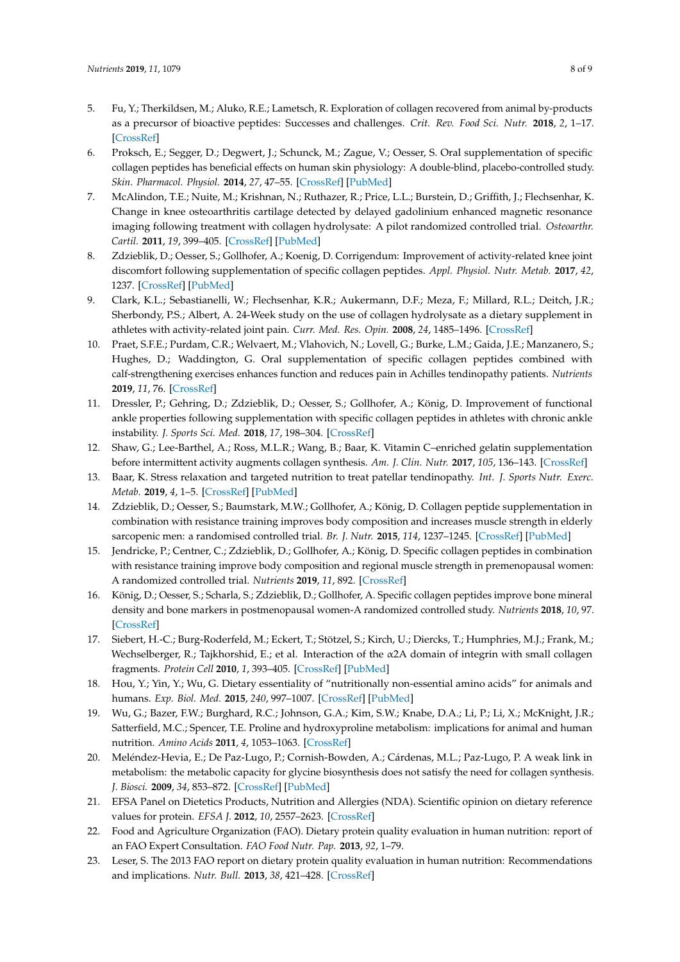- <span id="page-7-0"></span>5. Fu, Y.; Therkildsen, M.; Aluko, R.E.; Lametsch, R. Exploration of collagen recovered from animal by-products as a precursor of bioactive peptides: Successes and challenges. *Crit. Rev. Food Sci. Nutr.* **2018**, *2*, 1–17. [\[CrossRef\]](http://dx.doi.org/10.1080/10408398.2018.1436038)
- <span id="page-7-1"></span>6. Proksch, E.; Segger, D.; Degwert, J.; Schunck, M.; Zague, V.; Oesser, S. Oral supplementation of specific collagen peptides has beneficial effects on human skin physiology: A double-blind, placebo-controlled study. *Skin. Pharmacol. Physiol.* **2014**, *27*, 47–55. [\[CrossRef\]](http://dx.doi.org/10.1159/000351376) [\[PubMed\]](http://www.ncbi.nlm.nih.gov/pubmed/23949208)
- <span id="page-7-2"></span>7. McAlindon, T.E.; Nuite, M.; Krishnan, N.; Ruthazer, R.; Price, L.L.; Burstein, D.; Griffith, J.; Flechsenhar, K. Change in knee osteoarthritis cartilage detected by delayed gadolinium enhanced magnetic resonance imaging following treatment with collagen hydrolysate: A pilot randomized controlled trial. *Osteoarthr. Cartil.* **2011**, *19*, 399–405. [\[CrossRef\]](http://dx.doi.org/10.1016/j.joca.2011.01.001) [\[PubMed\]](http://www.ncbi.nlm.nih.gov/pubmed/21251991)
- <span id="page-7-3"></span>8. Zdzieblik, D.; Oesser, S.; Gollhofer, A.; Koenig, D. Corrigendum: Improvement of activity-related knee joint discomfort following supplementation of specific collagen peptides. *Appl. Physiol. Nutr. Metab.* **2017**, *42*, 1237. [\[CrossRef\]](http://dx.doi.org/10.1139/apnm-2017-0693) [\[PubMed\]](http://www.ncbi.nlm.nih.gov/pubmed/29081241)
- <span id="page-7-4"></span>9. Clark, K.L.; Sebastianelli, W.; Flechsenhar, K.R.; Aukermann, D.F.; Meza, F.; Millard, R.L.; Deitch, J.R.; Sherbondy, P.S.; Albert, A. 24-Week study on the use of collagen hydrolysate as a dietary supplement in athletes with activity-related joint pain. *Curr. Med. Res. Opin.* **2008**, *24*, 1485–1496. [\[CrossRef\]](http://dx.doi.org/10.1185/030079908X291967)
- <span id="page-7-5"></span>10. Praet, S.F.E.; Purdam, C.R.; Welvaert, M.; Vlahovich, N.; Lovell, G.; Burke, L.M.; Gaida, J.E.; Manzanero, S.; Hughes, D.; Waddington, G. Oral supplementation of specific collagen peptides combined with calf-strengthening exercises enhances function and reduces pain in Achilles tendinopathy patients. *Nutrients* **2019**, *11*, 76. [\[CrossRef\]](http://dx.doi.org/10.3390/nu11010076)
- 11. Dressler, P.; Gehring, D.; Zdzieblik, D.; Oesser, S.; Gollhofer, A.; König, D. Improvement of functional ankle properties following supplementation with specific collagen peptides in athletes with chronic ankle instability. *J. Sports Sci. Med.* **2018**, *17*, 198–304. [\[CrossRef\]](http://dx.doi.org/10.1016/j.jbmt.2018.09.037)
- 12. Shaw, G.; Lee-Barthel, A.; Ross, M.L.R.; Wang, B.; Baar, K. Vitamin C–enriched gelatin supplementation before intermittent activity augments collagen synthesis. *Am. J. Clin. Nutr.* **2017**, *105*, 136–143. [\[CrossRef\]](http://dx.doi.org/10.3945/ajcn.116.138594)
- <span id="page-7-6"></span>13. Baar, K. Stress relaxation and targeted nutrition to treat patellar tendinopathy. *Int. J. Sports Nutr. Exerc. Metab.* **2019**, *4*, 1–5. [\[CrossRef\]](http://dx.doi.org/10.1123/ijsnem.2018-0231) [\[PubMed\]](http://www.ncbi.nlm.nih.gov/pubmed/30299199)
- <span id="page-7-7"></span>14. Zdzieblik, D.; Oesser, S.; Baumstark, M.W.; Gollhofer, A.; König, D. Collagen peptide supplementation in combination with resistance training improves body composition and increases muscle strength in elderly sarcopenic men: a randomised controlled trial. *Br. J. Nutr.* **2015**, *114*, 1237–1245. [\[CrossRef\]](http://dx.doi.org/10.1017/S0007114515002810) [\[PubMed\]](http://www.ncbi.nlm.nih.gov/pubmed/26353786)
- <span id="page-7-8"></span>15. Jendricke, P.; Centner, C.; Zdzieblik, D.; Gollhofer, A.; König, D. Specific collagen peptides in combination with resistance training improve body composition and regional muscle strength in premenopausal women: A randomized controlled trial. *Nutrients* **2019**, *11*, 892. [\[CrossRef\]](http://dx.doi.org/10.3390/nu11040892)
- <span id="page-7-9"></span>16. König, D.; Oesser, S.; Scharla, S.; Zdzieblik, D.; Gollhofer, A. Specific collagen peptides improve bone mineral density and bone markers in postmenopausal women-A randomized controlled study. *Nutrients* **2018**, *10*, 97. [\[CrossRef\]](http://dx.doi.org/10.3390/nu10010097)
- <span id="page-7-10"></span>17. Siebert, H.-C.; Burg-Roderfeld, M.; Eckert, T.; Stötzel, S.; Kirch, U.; Diercks, T.; Humphries, M.J.; Frank, M.; Wechselberger, R.; Tajkhorshid, E.; et al. Interaction of the  $\alpha$ 2A domain of integrin with small collagen fragments. *Protein Cell* **2010**, *1*, 393–405. [\[CrossRef\]](http://dx.doi.org/10.1007/s13238-010-0038-6) [\[PubMed\]](http://www.ncbi.nlm.nih.gov/pubmed/21203951)
- <span id="page-7-11"></span>18. Hou, Y.; Yin, Y.; Wu, G. Dietary essentiality of "nutritionally non-essential amino acids" for animals and humans. *Exp. Biol. Med.* **2015**, *240*, 997–1007. [\[CrossRef\]](http://dx.doi.org/10.1177/1535370215587913) [\[PubMed\]](http://www.ncbi.nlm.nih.gov/pubmed/26041391)
- 19. Wu, G.; Bazer, F.W.; Burghard, R.C.; Johnson, G.A.; Kim, S.W.; Knabe, D.A.; Li, P.; Li, X.; McKnight, J.R.; Satterfield, M.C.; Spencer, T.E. Proline and hydroxyproline metabolism: implications for animal and human nutrition. *Amino Acids* **2011**, *4*, 1053–1063. [\[CrossRef\]](http://dx.doi.org/10.1007/s00726-010-0715-z)
- <span id="page-7-12"></span>20. Meléndez-Hevia, E.; De Paz-Lugo, P.; Cornish-Bowden, A.; Cárdenas, M.L.; Paz-Lugo, P. A weak link in metabolism: the metabolic capacity for glycine biosynthesis does not satisfy the need for collagen synthesis. *J. Biosci.* **2009**, *34*, 853–872. [\[CrossRef\]](http://dx.doi.org/10.1007/s12038-009-0100-9) [\[PubMed\]](http://www.ncbi.nlm.nih.gov/pubmed/20093739)
- <span id="page-7-13"></span>21. EFSA Panel on Dietetics Products, Nutrition and Allergies (NDA). Scientific opinion on dietary reference values for protein. *EFSA J.* **2012**, *10*, 2557–2623. [\[CrossRef\]](http://dx.doi.org/10.2903/j.efsa.2012.2557)
- <span id="page-7-14"></span>22. Food and Agriculture Organization (FAO). Dietary protein quality evaluation in human nutrition: report of an FAO Expert Consultation. *FAO Food Nutr. Pap.* **2013**, *92*, 1–79.
- <span id="page-7-15"></span>23. Leser, S. The 2013 FAO report on dietary protein quality evaluation in human nutrition: Recommendations and implications. *Nutr. Bull.* **2013**, *38*, 421–428. [\[CrossRef\]](http://dx.doi.org/10.1111/nbu.12063)